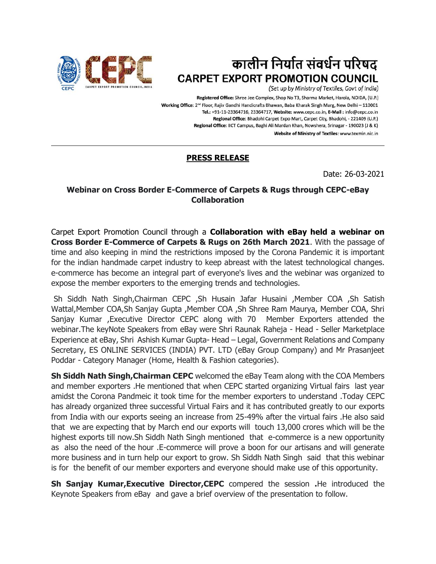

## कालीन निर्यात संवर्धन परिषद **CARPET EXPORT PROMOTION COUNCIL**

(Set up by Ministry of Textiles, Govt of India)

Registered Office: Shree Jee Complex, Shop No T3, Sharma Market, Harola, NOIDA, (U.P.) Working Office: 2<sup>nd</sup> Floor, Rajiv Gandhi Handicrafts Bhawan, Baba Kharak Singh Marg, New Delhi - 110001 Tel.: +91-11-23364716, 23364717, Website: www.cepc.co.in, E-Mail: info@cepc.co.in Regional Office: Bhadohi Carpet Expo Mart, Carpet City, Bhadohi, - 221409 (U.P.) Regional Office: IICT Campus, Baghi Ali Mardan Khan, Nowshera, Srinagar - 190023 (J & K) Website of Ministry of Textiles: www.texmin.nic.in

## **PRESS RELEASE**

Date: 26-03-2021

## **Webinar on Cross Border E-Commerce of Carpets & Rugs through CEPC-eBay Collaboration**

Carpet Export Promotion Council through a **Collaboration with eBay held a webinar on Cross Border E-Commerce of Carpets & Rugs on 26th March 2021**. With the passage of time and also keeping in mind the restrictions imposed by the Corona Pandemic it is important for the indian handmade carpet industry to keep abreast with the latest technological changes. e-commerce has become an integral part of everyone's lives and the webinar was organized to expose the member exporters to the emerging trends and technologies.

Sh Siddh Nath Singh,Chairman CEPC ,Sh Husain Jafar Husaini ,Member COA ,Sh Satish Wattal,Member COA,Sh Sanjay Gupta ,Member COA ,Sh Shree Ram Maurya, Member COA, Shri Sanjay Kumar ,Executive Director CEPC along with 70 Member Exporters attended the webinar.The keyNote Speakers from eBay were Shri Raunak Raheja - Head - Seller Marketplace Experience at eBay, Shri Ashish Kumar Gupta- Head – Legal, Government Relations and Company Secretary, ES ONLINE SERVICES (INDIA) PVT. LTD (eBay Group Company) and Mr Prasanjeet Poddar - Category Manager (Home, Health & Fashion categories).

**Sh Siddh Nath Singh,Chairman CEPC** welcomed the eBay Team along with the COA Members and member exporters .He mentioned that when CEPC started organizing Virtual fairs last year amidst the Corona Pandmeic it took time for the member exporters to understand .Today CEPC has already organized three successful Virtual Fairs and it has contributed greatly to our exports from India with our exports seeing an increase from 25-49% after the virtual fairs .He also said that we are expecting that by March end our exports will touch 13,000 crores which will be the highest exports till now.Sh Siddh Nath Singh mentioned that e-commerce is a new opportunity as also the need of the hour .E-commerce will prove a boon for our artisans and will generate more business and in turn help our export to grow. Sh Siddh Nath Singh said that this webinar is for the benefit of our member exporters and everyone should make use of this opportunity.

**Sh Sanjay Kumar,Executive Director,CEPC** compered the session **.**He introduced the Keynote Speakers from eBay and gave a brief overview of the presentation to follow.